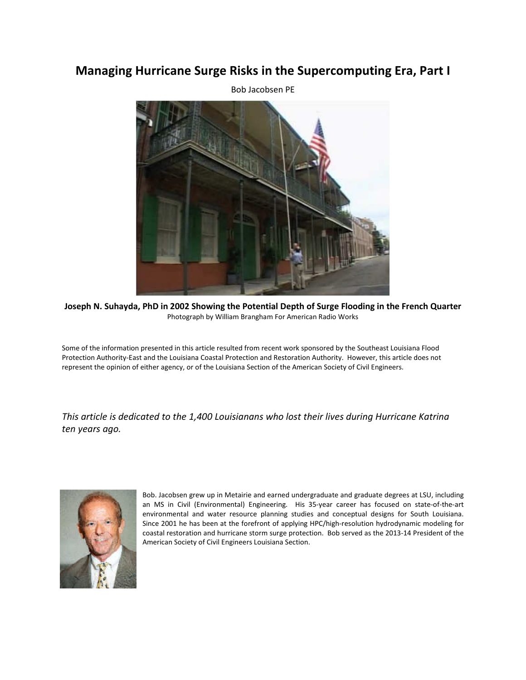# **Managing Hurricane Surge Risks in the Supercomputing Era, Part I**

Bob Jacobsen PE

**Joseph N. Suhayda, PhD in 2002 Showing the Potential Depth of Surge Flooding in the French Quarter**  Photograph by William Brangham For American Radio Works

Some of the information presented in this article resulted from recent work sponsored by the Southeast Louisiana Flood Protection Authority-East and the Louisiana Coastal Protection and Restoration Authority. However, this article does not represent the opinion of either agency, or of the Louisiana Section of the American Society of Civil Engineers.

*This article is dedicated to the 1,400 Louisianans who lost their lives during Hurricane Katrina ten years ago.* 



Bob. Jacobsen grew up in Metairie and earned undergraduate and graduate degrees at LSU, including an MS in Civil (Environmental) Engineering. His 35-year career has focused on state-of-the-art environmental and water resource planning studies and conceptual designs for South Louisiana. Since 2001 he has been at the forefront of applying HPC/high-resolution hydrodynamic modeling for coastal restoration and hurricane storm surge protection. Bob served as the 2013-14 President of the American Society of Civil Engineers Louisiana Section.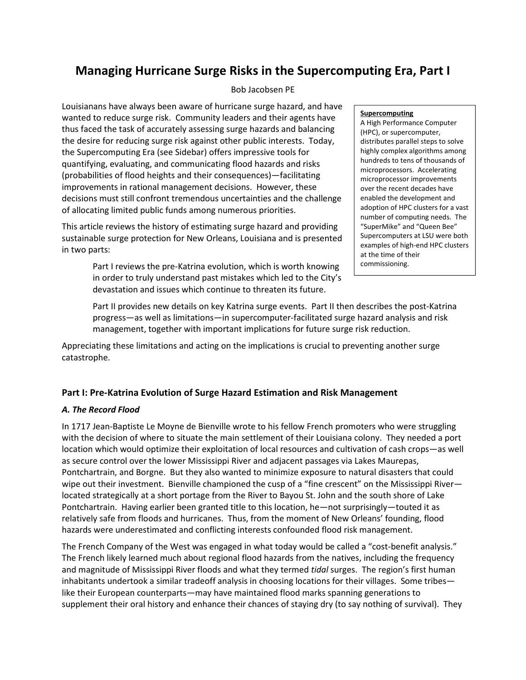# **Managing Hurricane Surge Risks in the Supercomputing Era, Part I**

# Bob Jacobsen PE

Louisianans have always been aware of hurricane surge hazard, and have wanted to reduce surge risk. Community leaders and their agents have thus faced the task of accurately assessing surge hazards and balancing the desire for reducing surge risk against other public interests. Today, the Supercomputing Era (see Sidebar) offers impressive tools for quantifying, evaluating, and communicating flood hazards and risks (probabilities of flood heights and their consequences)—facilitating improvements in rational management decisions. However, these decisions must still confront tremendous uncertainties and the challenge of allocating limited public funds among numerous priorities.

This article reviews the history of estimating surge hazard and providing sustainable surge protection for New Orleans, Louisiana and is presented in two parts:

> Part I reviews the pre-Katrina evolution, which is worth knowing in order to truly understand past mistakes which led to the City's devastation and issues which continue to threaten its future.

## **Supercomputing**

A High Performance Computer (HPC), or supercomputer, distributes parallel steps to solve highly complex algorithms among hundreds to tens of thousands of microprocessors. Accelerating microprocessor improvements over the recent decades have enabled the development and adoption of HPC clusters for a vast number of computing needs. The "SuperMike" and "Queen Bee" Supercomputers at LSU were both examples of high-end HPC clusters at the time of their commissioning.

Part II provides new details on key Katrina surge events. Part II then describes the post-Katrina progress—as well as limitations—in supercomputer-facilitated surge hazard analysis and risk management, together with important implications for future surge risk reduction.

Appreciating these limitations and acting on the implications is crucial to preventing another surge catastrophe.

# **Part I: Pre-Katrina Evolution of Surge Hazard Estimation and Risk Management**

# *A. The Record Flood*

In 1717 Jean-Baptiste Le Moyne de Bienville wrote to his fellow French promoters who were struggling with the decision of where to situate the main settlement of their Louisiana colony. They needed a port location which would optimize their exploitation of local resources and cultivation of cash crops—as well as secure control over the lower Mississippi River and adjacent passages via Lakes Maurepas, Pontchartrain, and Borgne. But they also wanted to minimize exposure to natural disasters that could wipe out their investment. Bienville championed the cusp of a "fine crescent" on the Mississippi River located strategically at a short portage from the River to Bayou St. John and the south shore of Lake Pontchartrain. Having earlier been granted title to this location, he—not surprisingly—touted it as relatively safe from floods and hurricanes. Thus, from the moment of New Orleans' founding, flood hazards were underestimated and conflicting interests confounded flood risk management.

The French Company of the West was engaged in what today would be called a "cost-benefit analysis." The French likely learned much about regional flood hazards from the natives, including the frequency and magnitude of Mississippi River floods and what they termed *tidal* surges. The region's first human inhabitants undertook a similar tradeoff analysis in choosing locations for their villages. Some tribes like their European counterparts—may have maintained flood marks spanning generations to supplement their oral history and enhance their chances of staying dry (to say nothing of survival). They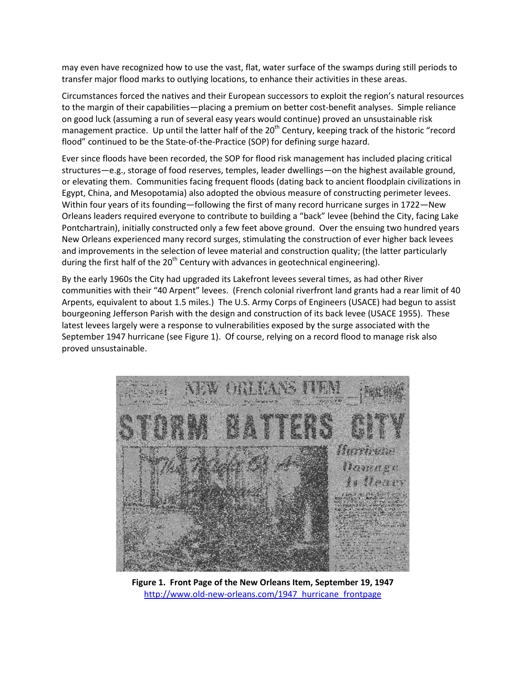may even have recognized how to use the vast, flat, water surface of the swamps during still periods to transfer major flood marks to outlying locations, to enhance their activities in these areas.

Circumstances forced the natives and their European successors to exploit the region's natural resources to the margin of their capabilities—placing a premium on better cost-benefit analyses. Simple reliance on good luck (assuming a run of several easy years would continue) proved an unsustainable risk management practice. Up until the latter half of the  $20<sup>th</sup>$  Century, keeping track of the historic "record flood" continued to be the State-of-the-Practice (SOP) for defining surge hazard.

Ever since floods have been recorded, the SOP for flood risk management has included placing critical structures—e.g., storage of food reserves, temples, leader dwellings—on the highest available ground, or elevating them. Communities facing frequent floods (dating back to ancient floodplain civilizations in Egypt, China, and Mesopotamia) also adopted the obvious measure of constructing perimeter levees. Within four years of its founding—following the first of many record hurricane surges in 1722—New Orleans leaders required everyone to contribute to building a "back" levee (behind the City, facing Lake Pontchartrain), initially constructed only a few feet above ground. Over the ensuing two hundred years New Orleans experienced many record surges, stimulating the construction of ever higher back levees and improvements in the selection of levee material and construction quality; (the latter particularly during the first half of the  $20<sup>th</sup>$  Century with advances in geotechnical engineering).

By the early 1960s the City had upgraded its Lakefront levees several times, as had other River communities with their "40 Arpent" levees. (French colonial riverfront land grants had a rear limit of 40 Arpents, equivalent to about 1.5 miles.) The U.S. Army Corps of Engineers (USACE) had begun to assist bourgeoning Jefferson Parish with the design and construction of its back levee (USACE 1955). These latest levees largely were a response to vulnerabilities exposed by the surge associated with the September 1947 hurricane (see Figure 1). Of course, relying on a record flood to manage risk also proved unsustainable.



**Figure 1. Front Page of the New Orleans Item, September 19, 1947**  http://www.old-new-orleans.com/1947\_hurricane\_frontpage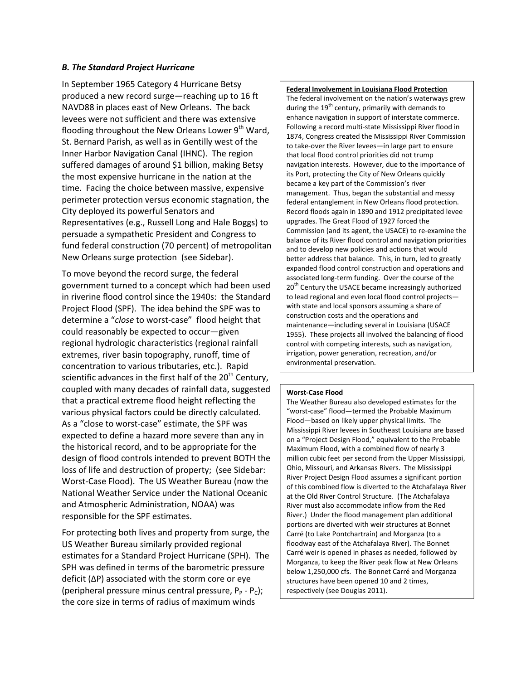## *B. The Standard Project Hurricane*

In September 1965 Category 4 Hurricane Betsy produced a new record surge—reaching up to 16 ft NAVD88 in places east of New Orleans. The back levees were not sufficient and there was extensive flooding throughout the New Orleans Lower  $9<sup>th</sup>$  Ward, St. Bernard Parish, as well as in Gentilly west of the Inner Harbor Navigation Canal (IHNC). The region suffered damages of around \$1 billion, making Betsy the most expensive hurricane in the nation at the time. Facing the choice between massive, expensive perimeter protection versus economic stagnation, the City deployed its powerful Senators and Representatives (e.g., Russell Long and Hale Boggs) to persuade a sympathetic President and Congress to fund federal construction (70 percent) of metropolitan New Orleans surge protection (see Sidebar).

To move beyond the record surge, the federal government turned to a concept which had been used in riverine flood control since the 1940s: the Standard Project Flood (SPF). The idea behind the SPF was to determine a "*close* to worst-case" flood height that could reasonably be expected to occur—given regional hydrologic characteristics (regional rainfall extremes, river basin topography, runoff, time of concentration to various tributaries, etc.). Rapid scientific advances in the first half of the  $20<sup>th</sup>$  Century, coupled with many decades of rainfall data, suggested that a practical extreme flood height reflecting the various physical factors could be directly calculated. As a "close to worst-case" estimate, the SPF was expected to define a hazard more severe than any in the historical record, and to be appropriate for the design of flood controls intended to prevent BOTH the loss of life and destruction of property; (see Sidebar: Worst-Case Flood). The US Weather Bureau (now the National Weather Service under the National Oceanic and Atmospheric Administration, NOAA) was responsible for the SPF estimates.

For protecting both lives and property from surge, the US Weather Bureau similarly provided regional estimates for a Standard Project Hurricane (SPH). The SPH was defined in terms of the barometric pressure deficit (ΔP) associated with the storm core or eye (peripheral pressure minus central pressure,  $P_P - P_C$ ); the core size in terms of radius of maximum winds

#### **Federal Involvement in Louisiana Flood Protection**

The federal involvement on the nation's waterways grew during the 19<sup>th</sup> century, primarily with demands to enhance navigation in support of interstate commerce. Following a record multi-state Mississippi River flood in 1874, Congress created the Mississippi River Commission to take-over the River levees—in large part to ensure that local flood control priorities did not trump navigation interests. However, due to the importance of its Port, protecting the City of New Orleans quickly became a key part of the Commission's river management. Thus, began the substantial and messy federal entanglement in New Orleans flood protection. Record floods again in 1890 and 1912 precipitated levee upgrades. The Great Flood of 1927 forced the Commission (and its agent, the USACE) to re-examine the balance of its River flood control and navigation priorities and to develop new policies and actions that would better address that balance. This, in turn, led to greatly expanded flood control construction and operations and associated long-term funding. Over the course of the 20<sup>th</sup> Century the USACE became increasingly authorized to lead regional and even local flood control projects with state and local sponsors assuming a share of construction costs and the operations and maintenance—including several in Louisiana (USACE 1955). These projects all involved the balancing of flood control with competing interests, such as navigation, irrigation, power generation, recreation, and/or environmental preservation.

#### **Worst-Case Flood**

The Weather Bureau also developed estimates for the "worst-case" flood—termed the Probable Maximum Flood—based on likely upper physical limits. The Mississippi River levees in Southeast Louisiana are based on a "Project Design Flood," equivalent to the Probable Maximum Flood, with a combined flow of nearly 3 million cubic feet per second from the Upper Mississippi, Ohio, Missouri, and Arkansas Rivers. The Mississippi River Project Design Flood assumes a significant portion of this combined flow is diverted to the Atchafalaya River at the Old River Control Structure. (The Atchafalaya River must also accommodate inflow from the Red River.) Under the flood management plan additional portions are diverted with weir structures at Bonnet Carré (to Lake Pontchartrain) and Morganza (to a floodway east of the Atchafalaya River). The Bonnet Carré weir is opened in phases as needed, followed by Morganza, to keep the River peak flow at New Orleans below 1,250,000 cfs. The Bonnet Carré and Morganza structures have been opened 10 and 2 times, respectively (see Douglas 2011).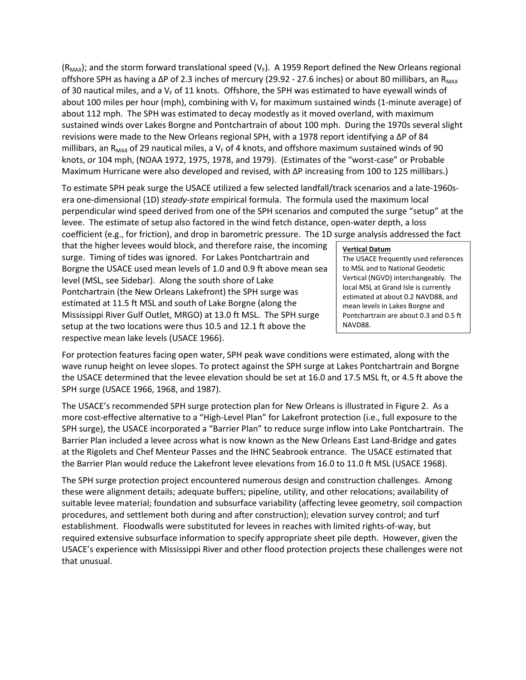$(R_{MAX})$ ; and the storm forward translational speed (V<sub>F</sub>). A 1959 Report defined the New Orleans regional offshore SPH as having a ΔP of 2.3 inches of mercury (29.92 - 27.6 inches) or about 80 millibars, an R<sub>MAX</sub> of 30 nautical miles, and a  $V_F$  of 11 knots. Offshore, the SPH was estimated to have eyewall winds of about 100 miles per hour (mph), combining with  $V_F$  for maximum sustained winds (1-minute average) of about 112 mph. The SPH was estimated to decay modestly as it moved overland, with maximum sustained winds over Lakes Borgne and Pontchartrain of about 100 mph. During the 1970s several slight revisions were made to the New Orleans regional SPH, with a 1978 report identifying a ΔP of 84 millibars, an R<sub>MAX</sub> of 29 nautical miles, a V<sub>F</sub> of 4 knots, and offshore maximum sustained winds of 90 knots, or 104 mph, (NOAA 1972, 1975, 1978, and 1979). (Estimates of the "worst-case" or Probable Maximum Hurricane were also developed and revised, with ΔP increasing from 100 to 125 millibars.)

To estimate SPH peak surge the USACE utilized a few selected landfall/track scenarios and a late-1960sera one-dimensional (1D) *steady-state* empirical formula. The formula used the maximum local perpendicular wind speed derived from one of the SPH scenarios and computed the surge "setup" at the levee. The estimate of setup also factored in the wind fetch distance, open-water depth, a loss coefficient (e.g., for friction), and drop in barometric pressure. The 1D surge analysis addressed the fact

that the higher levees would block, and therefore raise, the incoming surge. Timing of tides was ignored. For Lakes Pontchartrain and Borgne the USACE used mean levels of 1.0 and 0.9 ft above mean sea level (MSL, see Sidebar). Along the south shore of Lake Pontchartrain (the New Orleans Lakefront) the SPH surge was estimated at 11.5 ft MSL and south of Lake Borgne (along the Mississippi River Gulf Outlet, MRGO) at 13.0 ft MSL. The SPH surge setup at the two locations were thus 10.5 and 12.1 ft above the respective mean lake levels (USACE 1966).

#### **Vertical Datum**

The USACE frequently used references to MSL and to National Geodetic Vertical (NGVD) interchangeably. The local MSL at Grand Isle is currently estimated at about 0.2 NAVD88, and mean levels in Lakes Borgne and Pontchartrain are about 0.3 and 0.5 ft NAVD88.

For protection features facing open water, SPH peak wave conditions were estimated, along with the wave runup height on levee slopes. To protect against the SPH surge at Lakes Pontchartrain and Borgne the USACE determined that the levee elevation should be set at 16.0 and 17.5 MSL ft, or 4.5 ft above the SPH surge (USACE 1966, 1968, and 1987).

The USACE's recommended SPH surge protection plan for New Orleans is illustrated in Figure 2. As a more cost-effective alternative to a "High-Level Plan" for Lakefront protection (i.e., full exposure to the SPH surge), the USACE incorporated a "Barrier Plan" to reduce surge inflow into Lake Pontchartrain. The Barrier Plan included a levee across what is now known as the New Orleans East Land-Bridge and gates at the Rigolets and Chef Menteur Passes and the IHNC Seabrook entrance. The USACE estimated that the Barrier Plan would reduce the Lakefront levee elevations from 16.0 to 11.0 ft MSL (USACE 1968).

The SPH surge protection project encountered numerous design and construction challenges. Among these were alignment details; adequate buffers; pipeline, utility, and other relocations; availability of suitable levee material; foundation and subsurface variability (affecting levee geometry, soil compaction procedures, and settlement both during and after construction); elevation survey control; and turf establishment. Floodwalls were substituted for levees in reaches with limited rights-of-way, but required extensive subsurface information to specify appropriate sheet pile depth. However, given the USACE's experience with Mississippi River and other flood protection projects these challenges were not that unusual.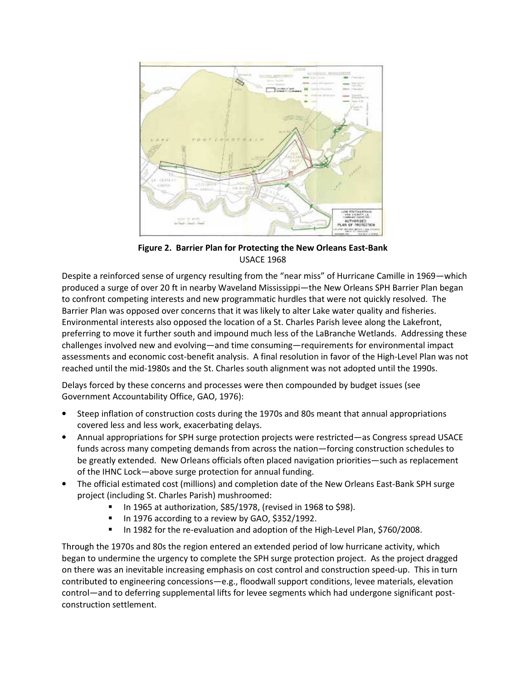

**Figure 2. Barrier Plan for Protecting the New Orleans East-Bank**  USACE 1968

Despite a reinforced sense of urgency resulting from the "near miss" of Hurricane Camille in 1969—which produced a surge of over 20 ft in nearby Waveland Mississippi—the New Orleans SPH Barrier Plan began to confront competing interests and new programmatic hurdles that were not quickly resolved. The Barrier Plan was opposed over concerns that it was likely to alter Lake water quality and fisheries. Environmental interests also opposed the location of a St. Charles Parish levee along the Lakefront, preferring to move it further south and impound much less of the LaBranche Wetlands. Addressing these challenges involved new and evolving—and time consuming—requirements for environmental impact assessments and economic cost-benefit analysis. A final resolution in favor of the High-Level Plan was not reached until the mid-1980s and the St. Charles south alignment was not adopted until the 1990s.

Delays forced by these concerns and processes were then compounded by budget issues (see Government Accountability Office, GAO, 1976):

- Steep inflation of construction costs during the 1970s and 80s meant that annual appropriations covered less and less work, exacerbating delays.
- Annual appropriations for SPH surge protection projects were restricted—as Congress spread USACE funds across many competing demands from across the nation—forcing construction schedules to be greatly extended. New Orleans officials often placed navigation priorities—such as replacement of the IHNC Lock—above surge protection for annual funding.
- The official estimated cost (millions) and completion date of the New Orleans East-Bank SPH surge project (including St. Charles Parish) mushroomed:
	- In 1965 at authorization, \$85/1978, (revised in 1968 to \$98).
	- In 1976 according to a review by GAO, \$352/1992.
	- In 1982 for the re-evaluation and adoption of the High-Level Plan, \$760/2008.

Through the 1970s and 80s the region entered an extended period of low hurricane activity, which began to undermine the urgency to complete the SPH surge protection project. As the project dragged on there was an inevitable increasing emphasis on cost control and construction speed-up. This in turn contributed to engineering concessions—e.g., floodwall support conditions, levee materials, elevation control—and to deferring supplemental lifts for levee segments which had undergone significant postconstruction settlement.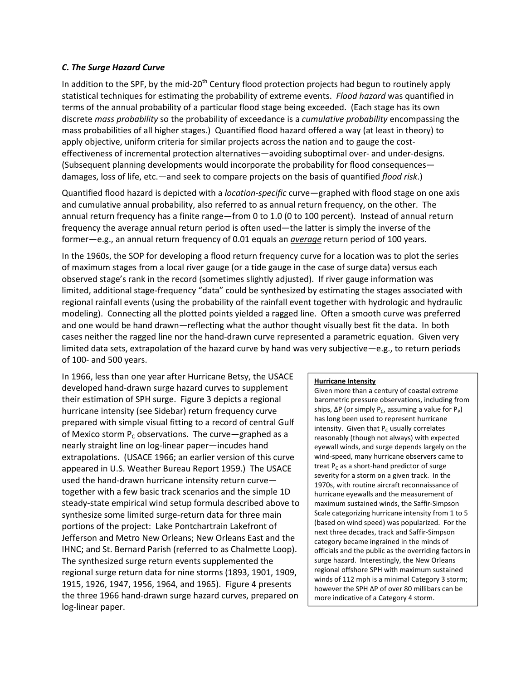## *C. The Surge Hazard Curve*

In addition to the SPF, by the mid-20<sup>th</sup> Century flood protection projects had begun to routinely apply statistical techniques for estimating the probability of extreme events. *Flood hazard* was quantified in terms of the annual probability of a particular flood stage being exceeded. (Each stage has its own discrete *mass probability* so the probability of exceedance is a *cumulative probability* encompassing the mass probabilities of all higher stages.) Quantified flood hazard offered a way (at least in theory) to apply objective, uniform criteria for similar projects across the nation and to gauge the costeffectiveness of incremental protection alternatives—avoiding suboptimal over- and under-designs. (Subsequent planning developments would incorporate the probability for flood consequences damages, loss of life, etc.—and seek to compare projects on the basis of quantified *flood risk*.)

Quantified flood hazard is depicted with a *location-specific* curve—graphed with flood stage on one axis and cumulative annual probability, also referred to as annual return frequency, on the other. The annual return frequency has a finite range—from 0 to 1.0 (0 to 100 percent). Instead of annual return frequency the average annual return period is often used—the latter is simply the inverse of the former—e.g., an annual return frequency of 0.01 equals an *average* return period of 100 years.

In the 1960s, the SOP for developing a flood return frequency curve for a location was to plot the series of maximum stages from a local river gauge (or a tide gauge in the case of surge data) versus each observed stage's rank in the record (sometimes slightly adjusted). If river gauge information was limited, additional stage-frequency "data" could be synthesized by estimating the stages associated with regional rainfall events (using the probability of the rainfall event together with hydrologic and hydraulic modeling). Connecting all the plotted points yielded a ragged line. Often a smooth curve was preferred and one would be hand drawn—reflecting what the author thought visually best fit the data. In both cases neither the ragged line nor the hand-drawn curve represented a parametric equation. Given very limited data sets, extrapolation of the hazard curve by hand was very subjective—e.g., to return periods of 100- and 500 years.

In 1966, less than one year after Hurricane Betsy, the USACE developed hand-drawn surge hazard curves to supplement their estimation of SPH surge. Figure 3 depicts a regional hurricane intensity (see Sidebar) return frequency curve prepared with simple visual fitting to a record of central Gulf of Mexico storm  $P_c$  observations. The curve-graphed as a nearly straight line on log-linear paper—incudes hand extrapolations. (USACE 1966; an earlier version of this curve appeared in U.S. Weather Bureau Report 1959.) The USACE used the hand-drawn hurricane intensity return curve together with a few basic track scenarios and the simple 1D steady-state empirical wind setup formula described above to synthesize some limited surge-return data for three main portions of the project: Lake Pontchartrain Lakefront of Jefferson and Metro New Orleans; New Orleans East and the IHNC; and St. Bernard Parish (referred to as Chalmette Loop). The synthesized surge return events supplemented the regional surge return data for nine storms (1893, 1901, 1909, 1915, 1926, 1947, 1956, 1964, and 1965). Figure 4 presents the three 1966 hand-drawn surge hazard curves, prepared on log-linear paper.

#### **Hurricane Intensity**

Given more than a century of coastal extreme barometric pressure observations, including from ships,  $\Delta P$  (or simply P<sub>c</sub>, assuming a value for P<sub>P</sub>) has long been used to represent hurricane intensity. Given that  $P_c$  usually correlates reasonably (though not always) with expected eyewall winds, and surge depends largely on the wind-speed, many hurricane observers came to treat  $P_c$  as a short-hand predictor of surge severity for a storm on a given track. In the 1970s, with routine aircraft reconnaissance of hurricane eyewalls and the measurement of maximum sustained winds, the Saffir-Simpson Scale categorizing hurricane intensity from 1 to 5 (based on wind speed) was popularized. For the next three decades, track and Saffir-Simpson category became ingrained in the minds of officials and the public as the overriding factors in surge hazard. Interestingly, the New Orleans regional offshore SPH with maximum sustained winds of 112 mph is a minimal Category 3 storm; however the SPH ΔP of over 80 millibars can be more indicative of a Category 4 storm.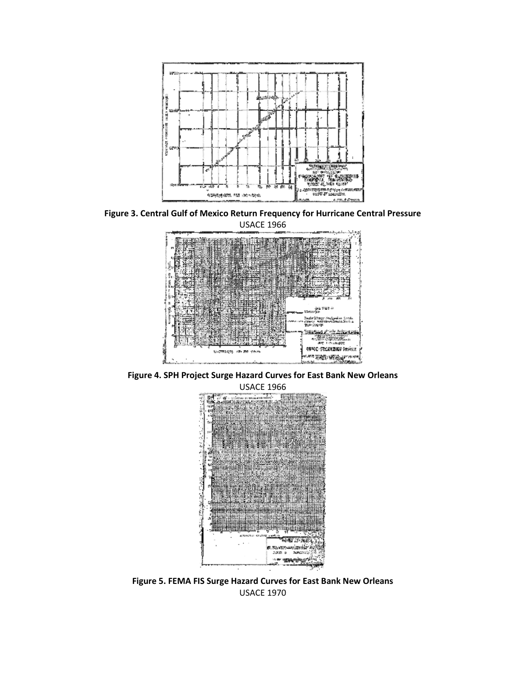

**Figure 3. Central Gulf of Mexico Return Frequency for Hurricane Central Pressure** 



**Figure 4. SPH Project Surge Hazard Curves for East Bank New Orleans**  USACE 1966



**Figure 5. FEMA FIS Surge Hazard Curves for East Bank New Orleans**  USACE 1970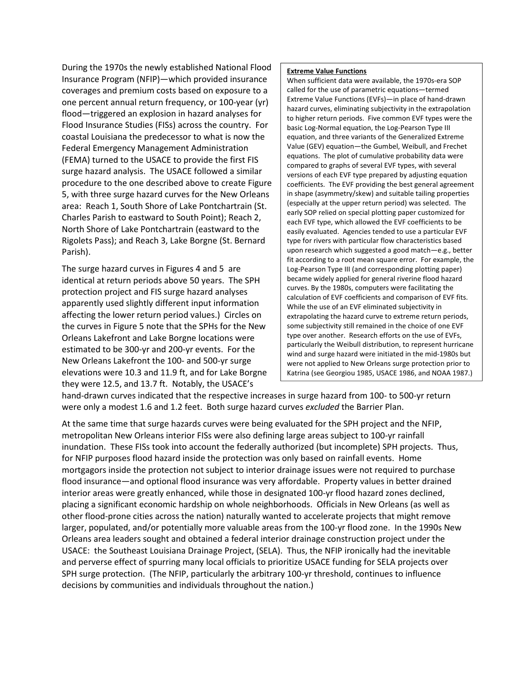During the 1970s the newly established National Flood Insurance Program (NFIP)—which provided insurance coverages and premium costs based on exposure to a one percent annual return frequency, or 100-year (yr) flood—triggered an explosion in hazard analyses for Flood Insurance Studies (FISs) across the country. For coastal Louisiana the predecessor to what is now the Federal Emergency Management Administration (FEMA) turned to the USACE to provide the first FIS surge hazard analysis. The USACE followed a similar procedure to the one described above to create Figure 5, with three surge hazard curves for the New Orleans area: Reach 1, South Shore of Lake Pontchartrain (St. Charles Parish to eastward to South Point); Reach 2, North Shore of Lake Pontchartrain (eastward to the Rigolets Pass); and Reach 3, Lake Borgne (St. Bernard Parish).

The surge hazard curves in Figures 4 and 5 are identical at return periods above 50 years. The SPH protection project and FIS surge hazard analyses apparently used slightly different input information affecting the lower return period values.) Circles on the curves in Figure 5 note that the SPHs for the New Orleans Lakefront and Lake Borgne locations were estimated to be 300-yr and 200-yr events. For the New Orleans Lakefront the 100- and 500-yr surge elevations were 10.3 and 11.9 ft, and for Lake Borgne they were 12.5, and 13.7 ft. Notably, the USACE's

#### **Extreme Value Functions**

When sufficient data were available, the 1970s-era SOP called for the use of parametric equations—termed Extreme Value Functions (EVFs)—in place of hand-drawn hazard curves, eliminating subjectivity in the extrapolation to higher return periods. Five common EVF types were the basic Log-Normal equation, the Log-Pearson Type III equation, and three variants of the Generalized Extreme Value (GEV) equation—the Gumbel, Weibull, and Frechet equations. The plot of cumulative probability data were compared to graphs of several EVF types, with several versions of each EVF type prepared by adjusting equation coefficients. The EVF providing the best general agreement in shape (asymmetry/skew) and suitable tailing properties (especially at the upper return period) was selected. The early SOP relied on special plotting paper customized for each EVF type, which allowed the EVF coefficients to be easily evaluated. Agencies tended to use a particular EVF type for rivers with particular flow characteristics based upon research which suggested a good match—e.g., better fit according to a root mean square error. For example, the Log-Pearson Type III (and corresponding plotting paper) became widely applied for general riverine flood hazard curves. By the 1980s, computers were facilitating the calculation of EVF coefficients and comparison of EVF fits. While the use of an EVF eliminated subjectivity in extrapolating the hazard curve to extreme return periods, some subjectivity still remained in the choice of one EVF type over another. Research efforts on the use of EVFs, particularly the Weibull distribution, to represent hurricane wind and surge hazard were initiated in the mid-1980s but were not applied to New Orleans surge protection prior to Katrina (see Georgiou 1985, USACE 1986, and NOAA 1987.)

hand-drawn curves indicated that the respective increases in surge hazard from 100- to 500-yr return were only a modest 1.6 and 1.2 feet. Both surge hazard curves *excluded* the Barrier Plan.

At the same time that surge hazards curves were being evaluated for the SPH project and the NFIP, metropolitan New Orleans interior FISs were also defining large areas subject to 100-yr rainfall inundation. These FISs took into account the federally authorized (but incomplete) SPH projects. Thus, for NFIP purposes flood hazard inside the protection was only based on rainfall events. Home mortgagors inside the protection not subject to interior drainage issues were not required to purchase flood insurance—and optional flood insurance was very affordable. Property values in better drained interior areas were greatly enhanced, while those in designated 100-yr flood hazard zones declined, placing a significant economic hardship on whole neighborhoods. Officials in New Orleans (as well as other flood-prone cities across the nation) naturally wanted to accelerate projects that might remove larger, populated, and/or potentially more valuable areas from the 100-yr flood zone. In the 1990s New Orleans area leaders sought and obtained a federal interior drainage construction project under the USACE: the Southeast Louisiana Drainage Project, (SELA). Thus, the NFIP ironically had the inevitable and perverse effect of spurring many local officials to prioritize USACE funding for SELA projects over SPH surge protection. (The NFIP, particularly the arbitrary 100-yr threshold, continues to influence decisions by communities and individuals throughout the nation.)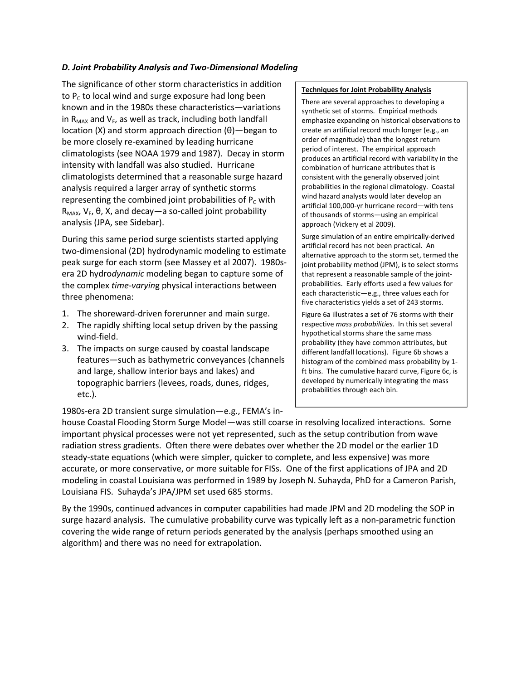# *D. Joint Probability Analysis and Two-Dimensional Modeling*

The significance of other storm characteristics in addition to  $P_c$  to local wind and surge exposure had long been known and in the 1980s these characteristics—variations in  $R_{MAX}$  and  $V_F$ , as well as track, including both landfall location (X) and storm approach direction (θ)—began to be more closely re-examined by leading hurricane climatologists (see NOAA 1979 and 1987). Decay in storm intensity with landfall was also studied. Hurricane climatologists determined that a reasonable surge hazard analysis required a larger array of synthetic storms representing the combined joint probabilities of  $P_c$  with  $R$ <sub>MAX</sub>,  $V$ <sub>F</sub>,  $θ$ , X, and decay — a so-called joint probability analysis (JPA, see Sidebar).

During this same period surge scientists started applying two-dimensional (2D) hydrodynamic modeling to estimate peak surge for each storm (see Massey et al 2007). 1980sera 2D hydro*dynamic* modeling began to capture some of the complex *time-varyin*g physical interactions between three phenomena:

- 1. The shoreward-driven forerunner and main surge.
- 2. The rapidly shifting local setup driven by the passing wind-field.
- 3. The impacts on surge caused by coastal landscape features—such as bathymetric conveyances (channels and large, shallow interior bays and lakes) and topographic barriers (levees, roads, dunes, ridges, etc.).

1980s-era 2D transient surge simulation—e.g., FEMA's in-

## **Techniques for Joint Probability Analysis**

There are several approaches to developing a synthetic set of storms. Empirical methods emphasize expanding on historical observations to create an artificial record much longer (e.g., an order of magnitude) than the longest return period of interest. The empirical approach produces an artificial record with variability in the combination of hurricane attributes that is consistent with the generally observed joint probabilities in the regional climatology. Coastal wind hazard analysts would later develop an artificial 100,000-yr hurricane record—with tens of thousands of storms—using an empirical approach (Vickery et al 2009).

Surge simulation of an entire empirically-derived artificial record has not been practical. An alternative approach to the storm set, termed the joint probability method (JPM), is to select storms that represent a reasonable sample of the jointprobabilities. Early efforts used a few values for each characteristic—e.g., three values each for five characteristics yields a set of 243 storms.

Figure 6a illustrates a set of 76 storms with their respective *mass probabilities*. In this set several hypothetical storms share the same mass probability (they have common attributes, but different landfall locations). Figure 6b shows a histogram of the combined mass probability by 1 ft bins. The cumulative hazard curve, Figure 6c, is developed by numerically integrating the mass probabilities through each bin.

house Coastal Flooding Storm Surge Model—was still coarse in resolving localized interactions. Some important physical processes were not yet represented, such as the setup contribution from wave radiation stress gradients. Often there were debates over whether the 2D model or the earlier 1D steady-state equations (which were simpler, quicker to complete, and less expensive) was more accurate, or more conservative, or more suitable for FISs. One of the first applications of JPA and 2D modeling in coastal Louisiana was performed in 1989 by Joseph N. Suhayda, PhD for a Cameron Parish, Louisiana FIS. Suhayda's JPA/JPM set used 685 storms.

By the 1990s, continued advances in computer capabilities had made JPM and 2D modeling the SOP in surge hazard analysis. The cumulative probability curve was typically left as a non-parametric function covering the wide range of return periods generated by the analysis (perhaps smoothed using an algorithm) and there was no need for extrapolation.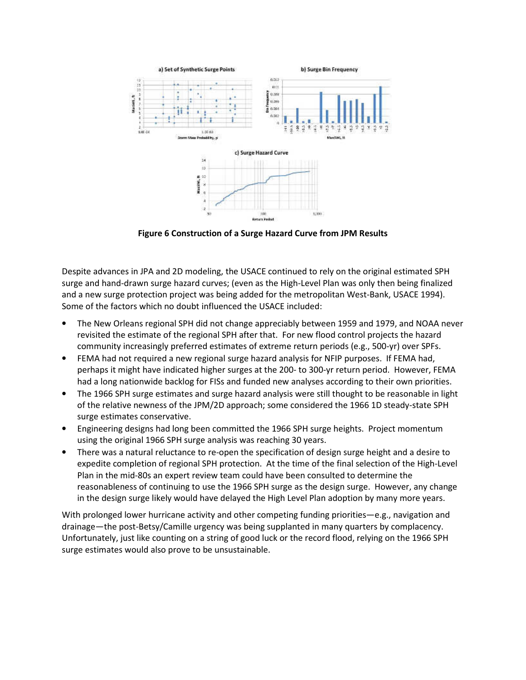

**Figure 6 Construction of a Surge Hazard Curve from JPM Results** 

Despite advances in JPA and 2D modeling, the USACE continued to rely on the original estimated SPH surge and hand-drawn surge hazard curves; (even as the High-Level Plan was only then being finalized and a new surge protection project was being added for the metropolitan West-Bank, USACE 1994). Some of the factors which no doubt influenced the USACE included:

- The New Orleans regional SPH did not change appreciably between 1959 and 1979, and NOAA never revisited the estimate of the regional SPH after that. For new flood control projects the hazard community increasingly preferred estimates of extreme return periods (e.g., 500-yr) over SPFs.
- FEMA had not required a new regional surge hazard analysis for NFIP purposes. If FEMA had, perhaps it might have indicated higher surges at the 200- to 300-yr return period. However, FEMA had a long nationwide backlog for FISs and funded new analyses according to their own priorities.
- The 1966 SPH surge estimates and surge hazard analysis were still thought to be reasonable in light of the relative newness of the JPM/2D approach; some considered the 1966 1D steady-state SPH surge estimates conservative.
- Engineering designs had long been committed the 1966 SPH surge heights. Project momentum using the original 1966 SPH surge analysis was reaching 30 years.
- There was a natural reluctance to re-open the specification of design surge height and a desire to expedite completion of regional SPH protection. At the time of the final selection of the High-Level Plan in the mid-80s an expert review team could have been consulted to determine the reasonableness of continuing to use the 1966 SPH surge as the design surge. However, any change in the design surge likely would have delayed the High Level Plan adoption by many more years.

With prolonged lower hurricane activity and other competing funding priorities—e.g., navigation and drainage—the post-Betsy/Camille urgency was being supplanted in many quarters by complacency. Unfortunately, just like counting on a string of good luck or the record flood, relying on the 1966 SPH surge estimates would also prove to be unsustainable.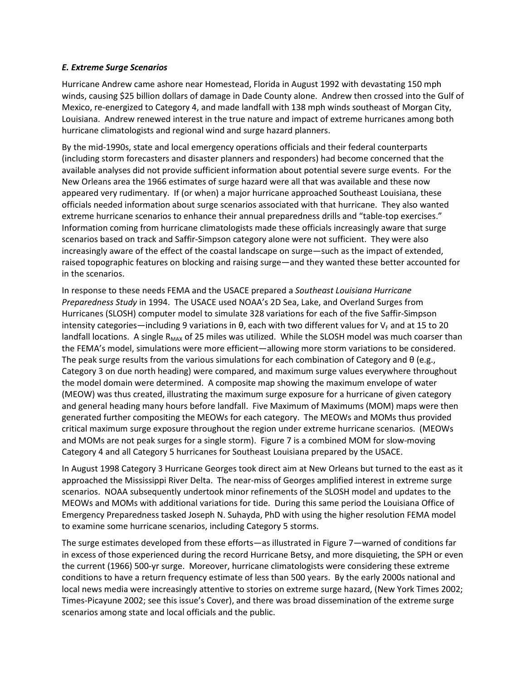# *E. Extreme Surge Scenarios*

Hurricane Andrew came ashore near Homestead, Florida in August 1992 with devastating 150 mph winds, causing \$25 billion dollars of damage in Dade County alone. Andrew then crossed into the Gulf of Mexico, re-energized to Category 4, and made landfall with 138 mph winds southeast of Morgan City, Louisiana. Andrew renewed interest in the true nature and impact of extreme hurricanes among both hurricane climatologists and regional wind and surge hazard planners.

By the mid-1990s, state and local emergency operations officials and their federal counterparts (including storm forecasters and disaster planners and responders) had become concerned that the available analyses did not provide sufficient information about potential severe surge events. For the New Orleans area the 1966 estimates of surge hazard were all that was available and these now appeared very rudimentary. If (or when) a major hurricane approached Southeast Louisiana, these officials needed information about surge scenarios associated with that hurricane. They also wanted extreme hurricane scenarios to enhance their annual preparedness drills and "table-top exercises." Information coming from hurricane climatologists made these officials increasingly aware that surge scenarios based on track and Saffir-Simpson category alone were not sufficient. They were also increasingly aware of the effect of the coastal landscape on surge—such as the impact of extended, raised topographic features on blocking and raising surge—and they wanted these better accounted for in the scenarios.

In response to these needs FEMA and the USACE prepared a *Southeast Louisiana Hurricane Preparedness Study* in 1994. The USACE used NOAA's 2D Sea, Lake, and Overland Surges from Hurricanes (SLOSH) computer model to simulate 328 variations for each of the five Saffir-Simpson intensity categories—including 9 variations in  $\theta$ , each with two different values for  $V_F$  and at 15 to 20 landfall locations. A single  $R_{MAX}$  of 25 miles was utilized. While the SLOSH model was much coarser than the FEMA's model, simulations were more efficient—allowing more storm variations to be considered. The peak surge results from the various simulations for each combination of Category and  $\theta$  (e.g., Category 3 on due north heading) were compared, and maximum surge values everywhere throughout the model domain were determined. A composite map showing the maximum envelope of water (MEOW) was thus created, illustrating the maximum surge exposure for a hurricane of given category and general heading many hours before landfall. Five Maximum of Maximums (MOM) maps were then generated further compositing the MEOWs for each category. The MEOWs and MOMs thus provided critical maximum surge exposure throughout the region under extreme hurricane scenarios. (MEOWs and MOMs are not peak surges for a single storm). Figure 7 is a combined MOM for slow-moving Category 4 and all Category 5 hurricanes for Southeast Louisiana prepared by the USACE.

In August 1998 Category 3 Hurricane Georges took direct aim at New Orleans but turned to the east as it approached the Mississippi River Delta. The near-miss of Georges amplified interest in extreme surge scenarios. NOAA subsequently undertook minor refinements of the SLOSH model and updates to the MEOWs and MOMs with additional variations for tide. During this same period the Louisiana Office of Emergency Preparedness tasked Joseph N. Suhayda, PhD with using the higher resolution FEMA model to examine some hurricane scenarios, including Category 5 storms.

The surge estimates developed from these efforts—as illustrated in Figure 7—warned of conditions far in excess of those experienced during the record Hurricane Betsy, and more disquieting, the SPH or even the current (1966) 500-yr surge. Moreover, hurricane climatologists were considering these extreme conditions to have a return frequency estimate of less than 500 years. By the early 2000s national and local news media were increasingly attentive to stories on extreme surge hazard, (New York Times 2002; Times-Picayune 2002; see this issue's Cover), and there was broad dissemination of the extreme surge scenarios among state and local officials and the public.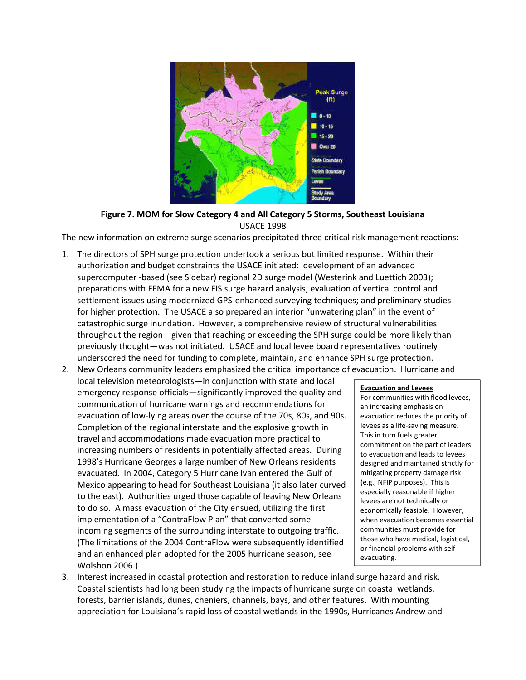

# **Figure 7. MOM for Slow Category 4 and All Category 5 Storms, Southeast Louisiana**  USACE 1998

The new information on extreme surge scenarios precipitated three critical risk management reactions:

- 1. The directors of SPH surge protection undertook a serious but limited response. Within their authorization and budget constraints the USACE initiated: development of an advanced supercomputer -based (see Sidebar) regional 2D surge model (Westerink and Luettich 2003); preparations with FEMA for a new FIS surge hazard analysis; evaluation of vertical control and settlement issues using modernized GPS-enhanced surveying techniques; and preliminary studies for higher protection. The USACE also prepared an interior "unwatering plan" in the event of catastrophic surge inundation. However, a comprehensive review of structural vulnerabilities throughout the region—given that reaching or exceeding the SPH surge could be more likely than previously thought—was not initiated. USACE and local levee board representatives routinely underscored the need for funding to complete, maintain, and enhance SPH surge protection.
- 2. New Orleans community leaders emphasized the critical importance of evacuation. Hurricane and local television meteorologists—in conjunction with state and local emergency response officials—significantly improved the quality and communication of hurricane warnings and recommendations for evacuation of low-lying areas over the course of the 70s, 80s, and 90s. Completion of the regional interstate and the explosive growth in travel and accommodations made evacuation more practical to increasing numbers of residents in potentially affected areas. During 1998's Hurricane Georges a large number of New Orleans residents evacuated. In 2004, Category 5 Hurricane Ivan entered the Gulf of Mexico appearing to head for Southeast Louisiana (it also later curved to the east). Authorities urged those capable of leaving New Orleans to do so. A mass evacuation of the City ensued, utilizing the first implementation of a "ContraFlow Plan" that converted some incoming segments of the surrounding interstate to outgoing traffic. (The limitations of the 2004 ContraFlow were subsequently identified and an enhanced plan adopted for the 2005 hurricane season, see Wolshon 2006.)

# **Evacuation and Levees**  For communities with flood levees,

an increasing emphasis on evacuation reduces the priority of levees as a life-saving measure. This in turn fuels greater commitment on the part of leaders to evacuation and leads to levees designed and maintained strictly for mitigating property damage risk (e.g., NFIP purposes). This is especially reasonable if higher levees are not technically or economically feasible. However, when evacuation becomes essential communities must provide for those who have medical, logistical, or financial problems with selfevacuating.

3. Interest increased in coastal protection and restoration to reduce inland surge hazard and risk. Coastal scientists had long been studying the impacts of hurricane surge on coastal wetlands, forests, barrier islands, dunes, cheniers, channels, bays, and other features. With mounting appreciation for Louisiana's rapid loss of coastal wetlands in the 1990s, Hurricanes Andrew and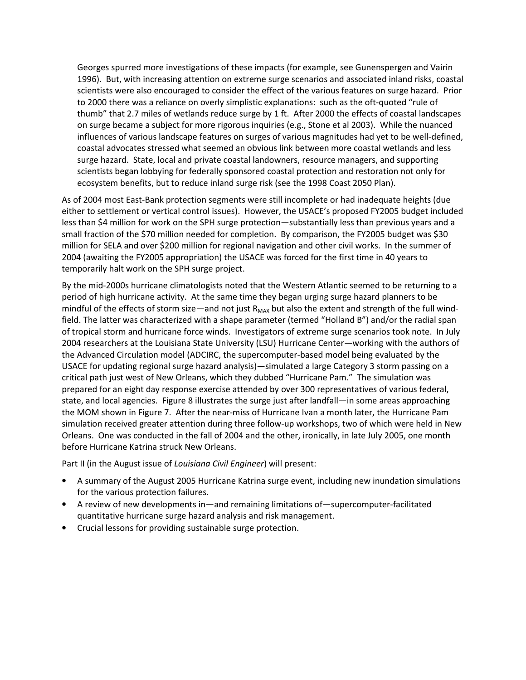Georges spurred more investigations of these impacts (for example, see Gunenspergen and Vairin 1996). But, with increasing attention on extreme surge scenarios and associated inland risks, coastal scientists were also encouraged to consider the effect of the various features on surge hazard. Prior to 2000 there was a reliance on overly simplistic explanations: such as the oft-quoted "rule of thumb" that 2.7 miles of wetlands reduce surge by 1 ft. After 2000 the effects of coastal landscapes on surge became a subject for more rigorous inquiries (e.g., Stone et al 2003). While the nuanced influences of various landscape features on surges of various magnitudes had yet to be well-defined, coastal advocates stressed what seemed an obvious link between more coastal wetlands and less surge hazard. State, local and private coastal landowners, resource managers, and supporting scientists began lobbying for federally sponsored coastal protection and restoration not only for ecosystem benefits, but to reduce inland surge risk (see the 1998 Coast 2050 Plan).

As of 2004 most East-Bank protection segments were still incomplete or had inadequate heights (due either to settlement or vertical control issues). However, the USACE's proposed FY2005 budget included less than \$4 million for work on the SPH surge protection—substantially less than previous years and a small fraction of the \$70 million needed for completion. By comparison, the FY2005 budget was \$30 million for SELA and over \$200 million for regional navigation and other civil works. In the summer of 2004 (awaiting the FY2005 appropriation) the USACE was forced for the first time in 40 years to temporarily halt work on the SPH surge project.

By the mid-2000s hurricane climatologists noted that the Western Atlantic seemed to be returning to a period of high hurricane activity. At the same time they began urging surge hazard planners to be mindful of the effects of storm size—and not just  $R_{MAX}$  but also the extent and strength of the full windfield. The latter was characterized with a shape parameter (termed "Holland B") and/or the radial span of tropical storm and hurricane force winds. Investigators of extreme surge scenarios took note. In July 2004 researchers at the Louisiana State University (LSU) Hurricane Center—working with the authors of the Advanced Circulation model (ADCIRC, the supercomputer-based model being evaluated by the USACE for updating regional surge hazard analysis)—simulated a large Category 3 storm passing on a critical path just west of New Orleans, which they dubbed "Hurricane Pam." The simulation was prepared for an eight day response exercise attended by over 300 representatives of various federal, state, and local agencies. Figure 8 illustrates the surge just after landfall—in some areas approaching the MOM shown in Figure 7. After the near-miss of Hurricane Ivan a month later, the Hurricane Pam simulation received greater attention during three follow-up workshops, two of which were held in New Orleans. One was conducted in the fall of 2004 and the other, ironically, in late July 2005, one month before Hurricane Katrina struck New Orleans.

Part II (in the August issue of *Louisiana Civil Engineer*) will present:

- A summary of the August 2005 Hurricane Katrina surge event, including new inundation simulations for the various protection failures.
- A review of new developments in—and remaining limitations of—supercomputer-facilitated quantitative hurricane surge hazard analysis and risk management.
- Crucial lessons for providing sustainable surge protection.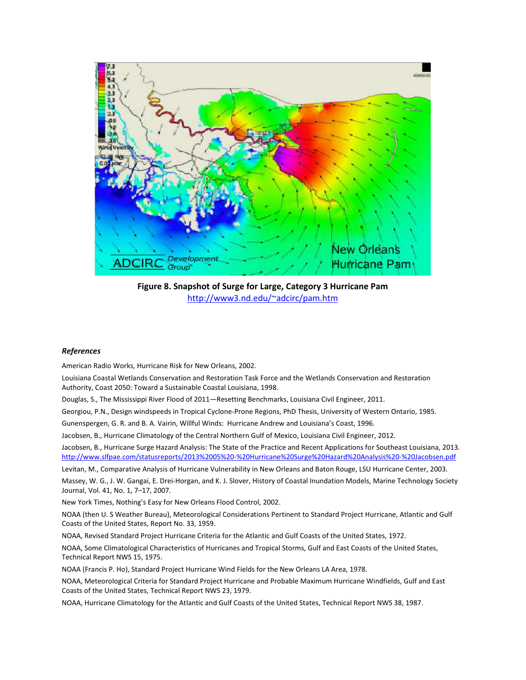

**Figure 8. Snapshot of Surge for Large, Category 3 Hurricane Pam**  http://www3.nd.edu/~adcirc/pam.htm

## *References*

American Radio Works, Hurricane Risk for New Orleans, 2002.

Louisiana Coastal Wetlands Conservation and Restoration Task Force and the Wetlands Conservation and Restoration Authority, Coast 2050: Toward a Sustainable Coastal Louisiana, 1998.

Douglas, S., The Mississippi River Flood of 2011—Resetting Benchmarks, Louisiana Civil Engineer, 2011.

Georgiou, P.N., Design windspeeds in Tropical Cyclone-Prone Regions, PhD Thesis, University of Western Ontario, 1985.

Gunenspergen, G. R. and B. A. Vairin, Willful Winds: Hurricane Andrew and Louisiana's Coast, 1996.

Jacobsen, B., Hurricane Climatology of the Central Northern Gulf of Mexico, Louisiana Civil Engineer, 2012.

Jacobsen, B., Hurricane Surge Hazard Analysis: The State of the Practice and Recent Applications for Southeast Louisiana, 2013. http://www.slfpae.com/statusreports/2013%2005%20-%20Hurricane%20Surge%20Hazard%20Analysis%20-%20Jacobsen.pdf

Levitan, M., Comparative Analysis of Hurricane Vulnerability in New Orleans and Baton Rouge, LSU Hurricane Center, 2003.

Massey, W. G., J. W. Gangai, E. Drei-Horgan, and K. J. Slover, History of Coastal Inundation Models, Marine Technology Society Journal, Vol. 41, No. 1, 7–17, 2007.

New York Times, Nothing's Easy for New Orleans Flood Control, 2002.

NOAA (then U. S Weather Bureau), Meteorological Considerations Pertinent to Standard Project Hurricane, Atlantic and Gulf Coasts of the United States, Report No. 33, 1959.

NOAA, Revised Standard Project Hurricane Criteria for the Atlantic and Gulf Coasts of the United States, 1972.

NOAA, Some Climatological Characteristics of Hurricanes and Tropical Storms, Gulf and East Coasts of the United States, Technical Report NWS 15, 1975.

NOAA (Francis P. Ho), Standard Project Hurricane Wind Fields for the New Orleans LA Area, 1978.

NOAA, Meteorological Criteria for Standard Project Hurricane and Probable Maximum Hurricane Windfields, Gulf and East Coasts of the United States, Technical Report NWS 23, 1979.

NOAA, Hurricane Climatology for the Atlantic and Gulf Coasts of the United States, Technical Report NWS 38, 1987.